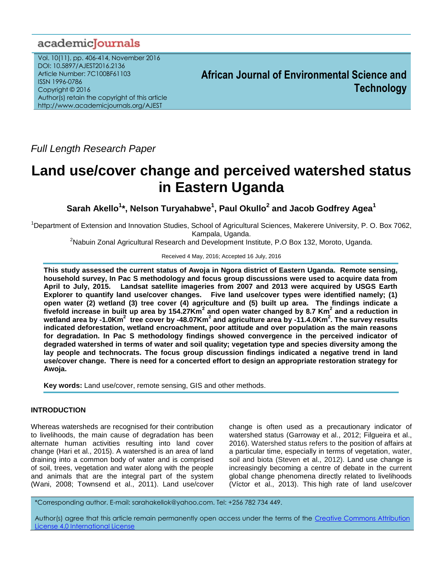## academiclournals

Vol. 10(11), pp. 406-414, November 2016 DOI: 10.5897/AJEST2016.2136 Article Number: 7C100BF61103 ISSN 1996-0786 Copyright © 2016 Author(s) retain the copyright of this article http://www.academicjournals.org/AJEST

**African Journal of Environmental Science and Technology**

*Full Length Research Paper*

# **Land use/cover change and perceived watershed status in Eastern Uganda**

**Sarah Akello<sup>1</sup> \*, Nelson Turyahabwe<sup>1</sup> , Paul Okullo<sup>2</sup> and Jacob Godfrey Agea<sup>1</sup>**

<sup>1</sup>Department of Extension and Innovation Studies, School of Agricultural Sciences, Makerere University, P. O. Box 7062, Kampala, Uganda.

<sup>2</sup>Nabuin Zonal Agricultural Research and Development Institute, P.O Box 132, Moroto, Uganda.

Received 4 May, 2016; Accepted 16 July, 2016

**This study assessed the current status of Awoja in Ngora district of Eastern Uganda. Remote sensing, household survey, In Pac S methodology and focus group discussions were used to acquire data from April to July, 2015. Landsat satellite imageries from 2007 and 2013 were acquired by USGS Earth Explorer to quantify land use/cover changes. Five land use/cover types were identified namely; (1) open water (2) wetland (3) tree cover (4) agriculture and (5) built up area. The findings indicate a fivefold increase in built up area by 154.27Km<sup>2</sup> and open water changed by 8.7 Km<sup>2</sup> and a reduction in wetland area by -1.0Km<sup>2</sup> tree cover by -48.07Km<sup>2</sup> and agriculture area by -11.4.0Km<sup>2</sup> . The survey results indicated deforestation, wetland encroachment, poor attitude and over population as the main reasons for degradation. In Pac S methodology findings showed convergence in the perceived indicator of degraded watershed in terms of water and soil quality; vegetation type and species diversity among the lay people and technocrats. The focus group discussion findings indicated a negative trend in land use/cover change. There is need for a concerted effort to design an appropriate restoration strategy for Awoja.**

**Key words:** Land use/cover, remote sensing, GIS and other methods.

## **INTRODUCTION**

Whereas watersheds are recognised for their contribution to livelihoods, the main cause of degradation has been alternate human activities resulting into land cover change (Hari et al., 2015). A watershed is an area of land draining into a common body of water and is comprised of soil, trees, vegetation and water along with the people and animals that are the integral part of the system (Wani, 2008; Townsend et al., 2011). Land use/cover

change is often used as a precautionary indicator of watershed status (Garroway et al., 2012; Filgueira et al., 2016). Watershed status refers to the position of affairs at a particular time, especially in terms of vegetation, water, soil and biota (Steven et al., 2012). Land use change is increasingly becoming a centre of debate in the current global change phenomena directly related to livelihoods (Víctor et al., 2013). This high rate of land use/cover

\*Corresponding author. E-mail[: sarahakellok@yahoo.com.](mailto:sarahakellok@yahoo.com) Tel: +256 782 734 449.

Author(s) agree that this article remain permanently open access under the terms of the Creative Commons Attribution [License 4.0 International License](http://creativecommons.org/licenses/by/4.0/deed.en_US)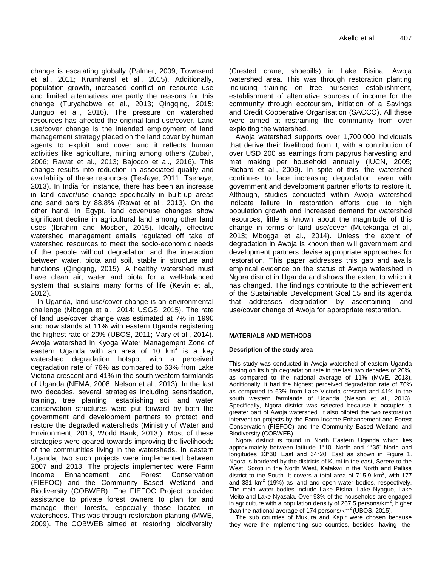change is escalating globally (Palmer, 2009; Townsend et al., 2011; Krumhansl et al., 2015). Additionally, population growth, increased conflict on resource use and limited alternatives are partly the reasons for this change (Turyahabwe et al., 2013; Qingqing, 2015; Junguo et al., 2016). The pressure on watershed resources has affected the original land use/cover. Land use/cover change is the intended employment of land management strategy placed on the land cover by human agents to exploit land cover and it reflects human activities like agriculture, mining among others (Zubair, 2006; Rawat et al., 2013; Bajocco et al., 2016). This change results into reduction in associated quality and availability of these resources (Tesfaye, 2011; Tsehaye, 2013). In India for instance, there has been an increase in land cover/use change specifically in built-up areas and sand bars by 88.8% (Rawat et al., 2013). On the other hand, in Egypt, land cover/use changes show significant decline in agricultural land among other land uses (Ibrahim and Mosben, 2015). Ideally, effective watershed management entails regulated off take of watershed resources to meet the socio-economic needs of the people without degradation and the interaction between water, biota and soil, stable in structure and functions (Qingqing, 2015). A healthy watershed must have clean air, water and biota for a well-balanced system that sustains many forms of life (Kevin et al., 2012).

In Uganda, land use/cover change is an environmental challenge (Mbogga et al., 2014; USGS, 2015). The rate of land use/cover change was estimated at 7% in 1990 and now stands at 11% with eastern Uganda registering the highest rate of 20% (UBOS, 2011; Mary et al., 2014). Awoja watershed in Kyoga Water Management Zone of eastern Uganda with an area of 10  $\text{km}^2$  is a key watershed degradation hotspot with a perceived degradation rate of 76% as compared to 63% from Lake Victoria crescent and 41% in the south western farmlands of Uganda (NEMA, 2008; Nelson et al., 2013). In the last two decades, several strategies including sensitisation, training, tree planting, establishing soil and water conservation structures were put forward by both the government and development partners to protect and restore the degraded watersheds (Ministry of Water and Environment, 2013; World Bank, 2013;). Most of these strategies were geared towards improving the livelihoods of the communities living in the watersheds. In eastern Uganda, two such projects were implemented between 2007 and 2013. The projects implemented were Farm Income Enhancement and Forest Conservation (FIEFOC) and the Community Based Wetland and Biodiversity (COBWEB). The FIEFOC Project provided assistance to private forest owners to plan for and manage their forests, especially those located in watersheds. This was through restoration planting (MWE, 2009). The COBWEB aimed at restoring biodiversity

(Crested crane, shoebills) in Lake Bisina, Awoja watershed area. This was through restoration planting including training on tree nurseries establishment, establishment of alternative sources of income for the community through ecotourism, initiation of a Savings and Credit Cooperative Organisation (SACCO). All these were aimed at restraining the community from over exploiting the watershed.

Awoja watershed supports over 1,700,000 individuals that derive their livelihood from it, with a contribution of over USD 200 as earnings from papyrus harvesting and mat making per household annually (IUCN, 2005; Richard et al., 2009). In spite of this, the watershed continues to face increasing degradation, even with government and development partner efforts to restore it. Although, studies conducted within Awoja watershed indicate failure in restoration efforts due to high population growth and increased demand for watershed resources, little is known about the magnitude of this change in terms of land use/cover (Mutekanga et al., 2013; Mbogga et al., 2014). Unless the extent of degradation in Awoja is known then will government and development partners devise appropriate approaches for restoration. This paper addresses this gap and avails empirical evidence on the status of Awoja watershed in Ngora district in Uganda and shows the extent to which it has changed. The findings contribute to the achievement of the Sustainable Development Goal 15 and its agenda that addresses degradation by ascertaining land use/cover change of Awoja for appropriate restoration.

## **MATERIALS AND METHODS**

## **Description of the study area**

This study was conducted in Awoja watershed of eastern Uganda basing on its high degradation rate in the last two decades of 20%, as compared to the national average of 11% (MWE, 2013). Additionally, it had the highest perceived degradation rate of 76% as compared to 63% from Lake Victoria crescent and 41% in the south western farmlands of Uganda (Nelson et al., 2013). Specifically, Ngora district was selected because it occupies a greater part of Awoja watershed. It also piloted the two restoration intervention projects by the Farm Income Enhancement and Forest Conservation (FIEFOC) and the Community Based Wetland and Biodiversity (COBWEB).

Ngora district is found in North Eastern Uganda which lies approximately between latitude 1°10' North and 1°35' North and longitudes 33°30' East and 34°20' East as shown in Figure 1. Ngora is bordered by the districts of Kumi in the east, Serere to the West, Soroti in the North West, Katakwi in the North and Pallisa district to the South. It covers a total area of  $715.9 \text{ km}^2$ , with  $177$ and 331  $km^2$  (19%) as land and open water bodies, respectively. The main water bodies include Lake Bisina, Lake Nyaguo, Lake Meito and Lake Nyasala. Over 93% of the households are engaged in agriculture with a population density of 267.5 persons/km<sup>2</sup>, higher than the national average of 174 persons/km<sup>2</sup> (UBOS, 2015).

The sub counties of Mukura and Kapir were chosen because they were the implementing sub counties, besides having the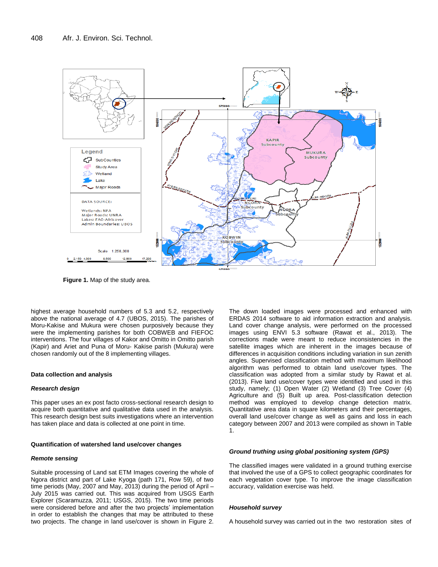

**Figure 1.** Map of the study area.

highest average household numbers of 5.3 and 5.2, respectively above the national average of 4.7 (UBOS, 2015). The parishes of Moru-Kakise and Mukura were chosen purposively because they were the implementing parishes for both COBWEB and FIEFOC interventions. The four villages of Kakor and Omitto in Omitto parish (Kapir) and Ariet and Puna of Moru- Kakise parish (Mukura) were chosen randomly out of the 8 implementing villages.

## **Data collection and analysis**

#### *Research design*

This paper uses an ex post facto cross-sectional research design to acquire both quantitative and qualitative data used in the analysis. This research design best suits investigations where an intervention has taken place and data is collected at one point in time.

## **Quantification of watershed land use/cover changes**

#### *Remote sensing*

Suitable processing of Land sat ETM Images covering the whole of Ngora district and part of Lake Kyoga (path 171, Row 59), of two time periods (May, 2007 and May, 2013) during the period of April – July 2015 was carried out. This was acquired from USGS Earth Explorer (Scaramuzza, 2011; USGS, 2015). The two time periods were considered before and after the two projects' implementation in order to establish the changes that may be attributed to these two projects. The change in land use/cover is shown in Figure 2.

The down loaded images were processed and enhanced with ERDAS 2014 software to aid information extraction and analysis. Land cover change analysis, were performed on the processed images using ENVI 5.3 software (Rawat et al., 2013). The corrections made were meant to reduce inconsistencies in the satellite images which are inherent in the images because of differences in acquisition conditions including variation in sun zenith angles. Supervised classification method with maximum likelihood algorithm was performed to obtain land use/cover types. The classification was adopted from a similar study by Rawat et al. (2013). Five land use/cover types were identified and used in this study, namely; (1) Open Water (2) Wetland (3) Tree Cover (4) Agriculture and (5) Built up area. Post-classification detection method was employed to develop change detection matrix. Quantitative area data in square kilometers and their percentages, overall land use/cover change as well as gains and loss in each category between 2007 and 2013 were compiled as shown in Table 1.

#### *Ground truthing using global positioning system (GPS)*

The classified images were validated in a ground truthing exercise that involved the use of a GPS to collect geographic coordinates for each vegetation cover type. To improve the image classification accuracy, validation exercise was held.

#### *Household survey*

A household survey was carried out in the two restoration sites of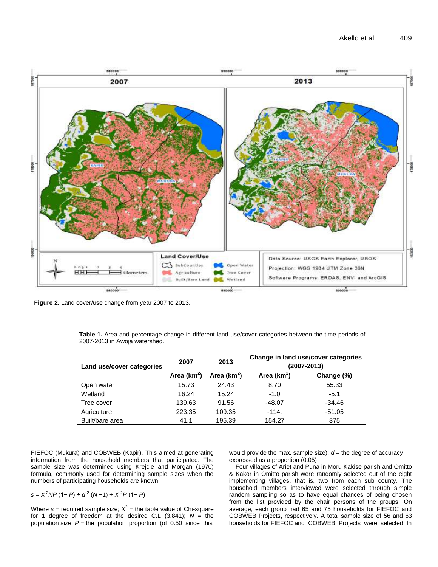

**Figure 2.** Land cover/use change from year 2007 to 2013.

|  | <b>Table 1.</b> Area and percentage change in different land use/cover categories between the time periods of |  |  |  |  |
|--|---------------------------------------------------------------------------------------------------------------|--|--|--|--|
|  | 2007-2013 in Awoja watershed.                                                                                 |  |  |  |  |
|  |                                                                                                               |  |  |  |  |
|  |                                                                                                               |  |  |  |  |

| Land use/cover categories | 2007           | 2013            | Change in land use/cover categories<br>(2007-2013) |            |  |
|---------------------------|----------------|-----------------|----------------------------------------------------|------------|--|
|                           | Area ( $km2$ ) | Area ( $km^2$ ) | Area ( $km^2$ )                                    | Change (%) |  |
| Open water                | 15.73          | 24.43           | 8.70                                               | 55.33      |  |
| Wetland                   | 16.24          | 15.24           | $-1.0$                                             | $-5.1$     |  |
| Tree cover                | 139.63         | 91.56           | $-48.07$                                           | $-34.46$   |  |
| Agriculture               | 223.35         | 109.35          | $-114.$                                            | $-51.05$   |  |
| Built/bare area           | 41.1           | 195.39          | 154.27                                             | 375        |  |

FIEFOC (Mukura) and COBWEB (Kapir). This aimed at generating information from the household members that participated. The sample size was determined using Krejcie and Morgan (1970) formula, commonly used for determining sample sizes when the numbers of participating households are known.

$$
s = X2NP (1 - P) ÷ d2 (N - 1) + X2P (1 - P)
$$

Where  $s$  = required sample size;  $X^2$  = the table value of Chi-square for 1 degree of freedom at the desired C.L (3.841); *N* = the population size;  $P =$  the population proportion (of 0.50 since this

would provide the max. sample size);  $d =$  the degree of accuracy expressed as a proportion (0.05)

Four villages of Ariet and Puna in Moru Kakise parish and Omitto & Kakor in Omitto parish were randomly selected out of the eight implementing villages, that is, two from each sub county. The household members interviewed were selected through simple random sampling so as to have equal chances of being chosen from the list provided by the chair persons of the groups. On average, each group had 65 and 75 households for FIEFOC and COBWEB Projects, respectively. A total sample size of 56 and 63 households for FIEFOC and COBWEB Projects were selected. In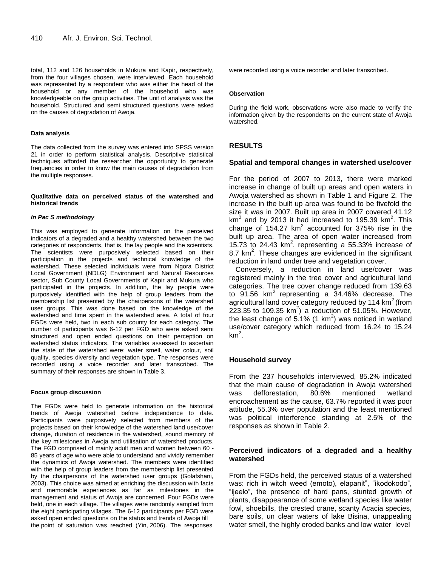total, 112 and 126 households in Mukura and Kapir, respectively, from the four villages chosen, were interviewed. Each household was represented by a respondent who was either the head of the household or any member of the household who was knowledgeable on the group activities. The unit of analysis was the household. Structured and semi structured questions were asked on the causes of degradation of Awoja.

#### **Data analysis**

The data collected from the survey was entered into SPSS version 21 in order to perform statistical analysis. Descriptive statistical techniques afforded the researcher the opportunity to generate frequencies in order to know the main causes of degradation from the multiple responses.

### **Qualitative data on perceived status of the watershed and historical trends**

#### *In Pac S methodology*

This was employed to generate information on the perceived indicators of a degraded and a healthy watershed between the two categories of respondents, that is, the lay people and the scientists. The scientists were purposively selected based on their participation in the projects and technical knowledge of the watershed. These selected individuals were from Ngora District Local Government (NDLG) Environment and Natural Resources sector, Sub County Local Governments of Kapir and Mukura who participated in the projects. In addition, the lay people were purposively identified with the help of group leaders from the membership list presented by the chairpersons of the watershed user groups. This was done based on the knowledge of the watershed and time spent in the watershed area. A total of four FGDs were held, two in each sub county for each category. The number of participants was 6-12 per FGD who were asked semi structured and open ended questions on their perception on watershed status indicators. The variables assessed to ascertain the state of the watershed were: water smell, water colour, soil quality, species diversity and vegetation type. The responses were recorded using a voice recorder and later transcribed. The summary of their responses are shown in Table 3.

#### **Focus group discussion**

The FGDs were held to generate information on the historical trends of Awoja watershed before independence to date. Participants were purposively selected from members of the projects based on their knowledge of the watershed land use/cover change, duration of residence in the watershed, sound memory of the key milestones in Awoja and utilisation of watershed products. The FGD comprised of mainly adult men and women between 60 - 85 years of age who were able to understand and vividly remember the dynamics of Awoja watershed. The members were identified with the help of group leaders from the membership list presented by the chairpersons of the watershed user groups (Golafshani, 2003). This choice was aimed at enriching the discussion with facts and memorable experiences as far as milestones in the management and status of Awoja are concerned. Four FGDs were held, one in each village. The villages were randomly sampled from the eight participating villages. The 6-12 participants per FGD were asked open ended questions on the status and trends of Awoja till the point of saturation was reached (Yin, 2006). The responses

were recorded using a voice recorder and later transcribed.

#### **Observation**

During the field work, observations were also made to verify the information given by the respondents on the current state of Awoja watershed.

## **RESULTS**

### **Spatial and temporal changes in watershed use/cover**

For the period of 2007 to 2013, there were marked increase in change of built up areas and open waters in Awoja watershed as shown in Table 1 and Figure 2. The increase in the built up area was found to be fivefold the size it was in 2007. Built up area in 2007 covered 41.12 km<sup>2</sup> and by 2013 it had increased to 195.39 km<sup>2</sup>. This change of  $154.27 \text{ km}^2$  accounted for 375% rise in the built up area. The area of open water increased from 15.73 to 24.43  $km^2$ , representing a 55.33% increase of 8.7  $km<sup>2</sup>$ . These changes are evidenced in the significant reduction in land under tree and vegetation cover.

Conversely, a reduction in land use/cover was registered mainly in the tree cover and agricultural land categories. The tree cover change reduced from 139.63 to  $91.56$  km<sup>2</sup> representing a  $34.46\%$  decrease. The agricultural land cover category reduced by 114  $km^2$  (from 223.35 to 109.35  $km^2$ ) a reduction of 51.05%. However, the least change of  $5.1\%$  (1 km<sup>2</sup>) was noticed in wetland use/cover category which reduced from 16.24 to 15.24 km $^2$ .

## **Household survey**

From the 237 households interviewed, 85.2% indicated that the main cause of degradation in Awoja watershed was defforestation, 80.6% mentioned wetland encroachement as the cause, 63.7% reported it was poor attitude, 55.3% over population and the least mentioned was political interference standing at 2.5% of the responses as shown in Table 2.

## **Perceived indicators of a degraded and a healthy watershed**

From the FGDs held, the perceived status of a watershed was: rich in witch weed (emoto), elapanit", "ikodokodo", "ijeelo", the presence of hard pans, stunted growth of plants, disappearance of some wetland species like water fowl, shoebills, the crested crane, scanty Acacia species, bare soils, un clear waters of lake Bisina, unappealing water smell, the highly eroded banks and low water level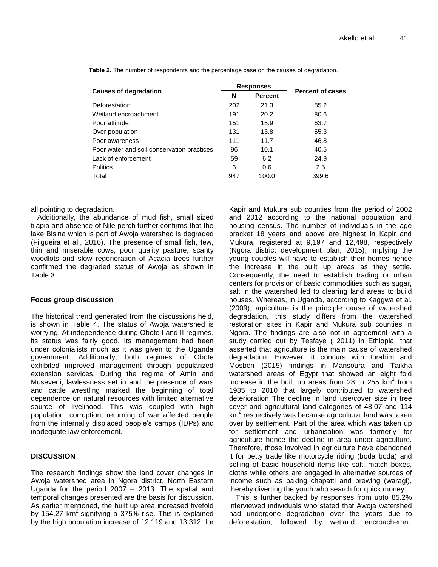|                                            | <b>Responses</b> |                |                         |  |
|--------------------------------------------|------------------|----------------|-------------------------|--|
| <b>Causes of degradation</b>               | N                | <b>Percent</b> | <b>Percent of cases</b> |  |
| Deforestation                              | 202              | 21.3           | 85.2                    |  |
| Wetland encroachment                       | 191              | 20.2           | 80.6                    |  |
| Poor attitude                              | 151              | 15.9           | 63.7                    |  |
| Over population                            | 131              | 13.8           | 55.3                    |  |
| Poor awareness                             | 111              | 11.7           | 46.8                    |  |
| Poor water and soil conservation practices | 96               | 10.1           | 40.5                    |  |
| Lack of enforcement                        | 59               | 6.2            | 24.9                    |  |
| <b>Politics</b>                            | 6                | 0.6            | 2.5                     |  |
| Total                                      | 947              | 100.0          | 399.6                   |  |

**Table 2.** The number of respondents and the percentage case on the causes of degradation.

all pointing to degradation.

Additionally, the abundance of mud fish, small sized tilapia and absence of Nile perch further confirms that the lake Bisina which is part of Awoja watershed is degraded (Filgueira et al., 2016). The presence of small fish, few, thin and miserable cows, poor quality pasture, scanty woodlots and slow regeneration of Acacia trees further confirmed the degraded status of Awoja as shown in Table 3.

## **Focus group discussion**

The historical trend generated from the discussions held, is shown in Table 4. The status of Awoja watershed is worrying. At independence during Obote I and II regimes, its status was fairly good. Its management had been under colonialists much as it was given to the Uganda government. Additionally, both regimes of Obote exhibited improved management through popularized extension services. During the regime of Amin and Museveni, lawlessness set in and the presence of wars and cattle wrestling marked the beginning of total dependence on natural resources with limited alternative source of livelihood. This was coupled with high population, corruption, returning of war affected people from the internally displaced people's camps (IDPs) and inadequate law enforcement.

## **DISCUSSION**

The research findings show the land cover changes in Awoja watershed area in Ngora district, North Eastern Uganda for the period 2007 – 2013. The spatial and temporal changes presented are the basis for discussion. As earlier mentioned, the built up area increased fivefold by 154.27 km<sup>2</sup> signifying a 375% rise. This is explained by the high population increase of 12,119 and 13,312 for

Kapir and Mukura sub counties from the period of 2002 and 2012 according to the national population and housing census. The number of individuals in the age bracket 18 years and above are highest in Kapir and Mukura, registered at 9,197 and 12,498, respectively (Ngora district development plan, 2015), implying the young couples will have to establish their homes hence the increase in the built up areas as they settle. Consequently, the need to establish trading or urban centers for provision of basic commodities such as sugar, salt in the watershed led to clearing land areas to build houses. Whereas, in Uganda, according to Kaggwa et al. (2009), agriculture is the principle cause of watershed degradation, this study differs from the watershed restoration sites in Kapir and Mukura sub counties in Ngora. The findings are also not in agreement with a study carried out by Tesfaye ( 2011) in Ethiopia, that asserted that agriculture is the main cause of watershed degradation. However, it concurs with Ibrahim and Mosben (2015) findings in Mansoura and Taikha watershed areas of Egypt that showed an eight fold increase in the built up areas from 28 to 255  $km^2$  from 1985 to 2010 that largely contributed to watershed deterioration The decline in land use/cover size in tree cover and agricultural land categories of 48.07 and 114 km<sup>2</sup> respectively was because agricultural land was taken over by settlement. Part of the area which was taken up for settlement and urbanisation was formerly for agriculture hence the decline in area under agriculture. Therefore, those involved in agriculture have abandoned it for petty trade like motorcycle riding (boda boda) and selling of basic household items like salt, match boxes, cloths while others are engaged in alternative sources of income such as baking chapatti and brewing (waragi), thereby diverting the youth who search for quick money.

This is further backed by responses from upto 85.2% interviewed individuals who stated that Awoja watershed had undergone degradation over the years due to deforestation, followed by wetland encroachemnt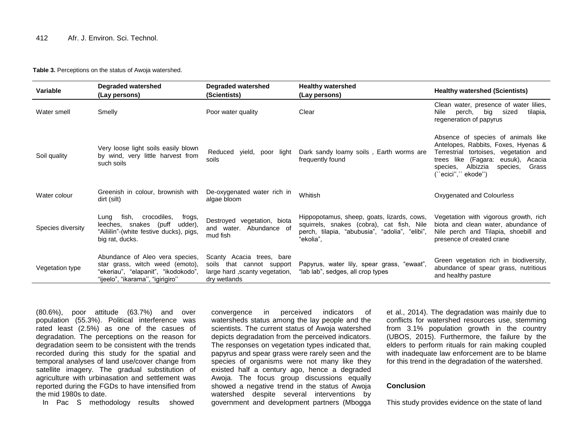## 412 Afr. J. Environ. Sci. Technol.

#### **Table 3.** Perceptions on the status of Awoja watershed.

| Variable          | <b>Degraded watershed</b><br>(Lay persons)                                                                                                    | <b>Degraded watershed</b><br>(Scientists)                                                                 | <b>Healthy watershed</b><br>(Lay persons)                                                                                                              | <b>Healthy watershed (Scientists)</b>                                                                                                                                                                                            |
|-------------------|-----------------------------------------------------------------------------------------------------------------------------------------------|-----------------------------------------------------------------------------------------------------------|--------------------------------------------------------------------------------------------------------------------------------------------------------|----------------------------------------------------------------------------------------------------------------------------------------------------------------------------------------------------------------------------------|
| Water smell       | Smelly                                                                                                                                        | Poor water quality                                                                                        | Clear                                                                                                                                                  | Clean water, presence of water lilies,<br>big<br>perch.<br>Nile<br>sized<br>tilapia,<br>regeneration of papyrus                                                                                                                  |
| Soil quality      | Very loose light soils easily blown<br>by wind, very little harvest from<br>such soils                                                        | Reduced<br>yield,<br>poor light<br>soils                                                                  | Dark sandy loamy soils, Earth worms are<br>frequently found                                                                                            | Absence of species of animals like<br>Antelopes, Rabbits, Foxes, Hyenas &<br>Terrestrial<br>tortoises, vegetation and<br>trees like (Fagara:<br>eusuk), Acacia<br>Albizzia<br>species,<br>Grass<br>species,<br>`ecici",``ekode") |
| Water colour      | Greenish in colour, brownish with<br>dirt (silt)                                                                                              | De-oxygenated water rich in<br>algae bloom                                                                | Whitish                                                                                                                                                | Oxygenated and Colourless                                                                                                                                                                                                        |
| Species diversity | Lung fish,<br>crocodiles,<br>frogs,<br>leeches, snakes (puff<br>udder),<br>"Ailiilin"-(white festive ducks), pigs,<br>big rat, ducks.         | Destroyed vegetation, biota<br>Abundance of<br>and water.<br>mud fish                                     | Hippopotamus, sheep, goats, lizards, cows,<br>squirrels, snakes (cobra), cat fish, Nile<br>perch, tilapia, "abubusia", "adolia", "elibi",<br>"ekolia", | Vegetation with vigorous growth, rich<br>biota and clean water, abundance of<br>Nile perch and Tilapia, shoebill and<br>presence of created crane                                                                                |
| Vegetation type   | Abundance of Aleo vera species,<br>star grass, witch weed (emoto),<br>"ekeriau", "elapanit", "ikodokodo",<br>"ijeelo", "ikarama", "igirigiro" | Scanty Acacia trees, bare<br>soils that cannot support<br>large hard , scanty vegetation,<br>dry wetlands | Papyrus, water lily, spear grass, "ewaat",<br>"lab lab", sedges, all crop types                                                                        | Green vegetation rich in biodiversity,<br>abundance of spear grass, nutritious<br>and healthy pasture                                                                                                                            |

(80.6%), poor attitude (63.7%) and over population (55.3%). Political interference was rated least (2.5%) as one of the casues of degradation. The perceptions on the reason for degradation seem to be consistent with the trends recorded during this study for the spatial and temporal analyses of land use/cover change from satellite imagery. The gradual substitution of agriculture with urbinasation and settlement was reported during the FGDs to have intensified from the mid 1980s to date.

In Pac S methodology results showed

convergence in perceived indicators of watersheds status among the lay people and the scientists. The current status of Awoja watershed depicts degradation from the perceived indicators. The responses on vegetation types indicated that, papyrus and spear grass were rarely seen and the species of organisms were not many like they existed half a century ago, hence a degraded Awoja. The focus group discussions equally showed a negative trend in the status of Awoja watershed despite several interventions by government and development partners (Mbogga

et al., 2014). The degradation was mainly due to conflicts for watershed resources use, stemming from 3.1% population growth in the country (UBOS, 2015). Furthermore, the failure by the elders to perform rituals for rain making coupled with inadequate law enforcement are to be blame for this trend in the degradation of the watershed.

## **Conclusion**

This study provides evidence on the state of land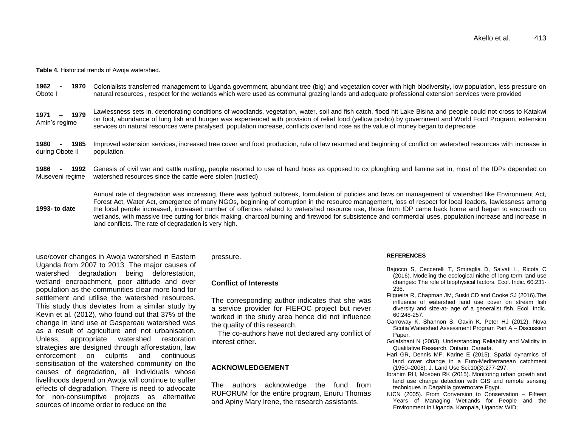## **Table 4.** Historical trends of Awoja watershed.

| 1962<br>1970<br>Obote I                           | Colonialists transferred management to Uganda government, abundant tree (big) and vegetation cover with high biodiversity, low population, less pressure on<br>natural resources, respect for the wetlands which were used as communal grazing lands and adequate professional extension services were provided                                                                                                                                                                                                                                                                                                                                                                                    |
|---------------------------------------------------|----------------------------------------------------------------------------------------------------------------------------------------------------------------------------------------------------------------------------------------------------------------------------------------------------------------------------------------------------------------------------------------------------------------------------------------------------------------------------------------------------------------------------------------------------------------------------------------------------------------------------------------------------------------------------------------------------|
| 1979<br>1971<br>$\sim$<br>Amin's regime           | Lawlessness sets in, deteriorating conditions of woodlands, vegetation, water, soil and fish catch, flood hit Lake Bisina and people could not cross to Katakwi<br>on foot, abundance of lung fish and hunger was experienced with provision of relief food (yellow posho) by government and World Food Program, extension<br>services on natural resources were paralysed, population increase, conflicts over land rose as the value of money began to depreciate                                                                                                                                                                                                                                |
| 1985<br>1980<br>$\sim$<br>during Obote II         | Improved extension services, increased tree cover and food production, rule of law resumed and beginning of conflict on watershed resources with increase in<br>population.                                                                                                                                                                                                                                                                                                                                                                                                                                                                                                                        |
| 1986<br>1992<br>$\blacksquare$<br>Museveni regime | Genesis of civil war and cattle rustling, people resorted to use of hand hoes as opposed to ox ploughing and famine set in, most of the IDPs depended on<br>watershed resources since the cattle were stolen (rustled)                                                                                                                                                                                                                                                                                                                                                                                                                                                                             |
| 1993- to date                                     | Annual rate of degradation was increasing, there was typhoid outbreak, formulation of policies and laws on management of watershed like Environment Act,<br>Forest Act, Water Act, emergence of many NGOs, beginning of corruption in the resource management, loss of respect for local leaders, lawlessness among<br>the local people increased, increased number of offences related to watershed resource use, those from IDP came back home and began to encroach on<br>wetlands, with massive tree cutting for brick making, charcoal burning and firewood for subsistence and commercial uses, population increase and increase in<br>land conflicts. The rate of degradation is very high. |

| use/cover changes in Awoja watershed in Eastern     |
|-----------------------------------------------------|
| Uganda from 2007 to 2013. The major causes of       |
| watershed degradation being deforestation,          |
| wetland encroachment, poor attitude and over        |
| population as the communities clear more land for   |
| settlement and utilise the watershed resources.     |
| This study thus deviates from a similar study by    |
| Kevin et al. (2012), who found out that 37% of the  |
| change in land use at Gaspereau watershed was       |
| as a result of agriculture and not urbanisation.    |
| Unless, appropriate watershed restoration           |
| strategies are designed through afforestation, law  |
| enforcement on culprits and continuous              |
| sensitisation of the watershed community on the     |
| causes of degradation, all individuals whose        |
| livelihoods depend on Awoja will continue to suffer |
| effects of degradation. There is need to advocate   |
|                                                     |
| for non-consumptive projects as alternative         |
| sources of income order to reduce on the            |

## pressure.

## **Conflict of Interests**

The corresponding author indicates that she was a service provider for FIEFOC project but never worked in the study area hence did not influence the quality of this research.

The co-authors have not declared any conflict of interest either.

## **ACKNOWLEDGEMENT**

The authors acknowledge the fund from RUFORUM for the entire program, Enuru Thomas and Apiny Mary Irene, the research assistants.

## **REFERENCES**

- Bajocco S, Ceccerelli T, Smiraglia D, Salvati L, Ricota C (2016). Modeling the ecological niche of long term land use changes: The role of biophysical factors. Ecol. Indic. 60:231- 236.
- Filgueira R, Chapman JM, Suski CD and Cooke SJ (2016).The influence of watershed land use cover on stream fish diversity and size-at- age of a generalist fish. Ecol. Indic. 60:248-257.
- Garroway K, Shannon S, Gavin K, Peter HJ (2012). Nova Scotia Watershed Assessment Program Part A – Discussion Paper.
- Golafshani N (2003). Understanding Reliability and Validity in Qualitative Research. Ontario, Canada.
- Hari GR, Dennis MF, Karine E (2015). Spatial dynamics of land cover change in a Euro-Mediterranean catchment (1950–2008), J. Land Use Sci.10(3):277-297.
- Ibrahim RH, Mosben RK (2015). Monitoring urban growth and land use change detection with GIS and remote sensing techniques in Dagahlia governorate Egypt.
- IUCN (2005). From Conversion to Conservation Fifteen Years of Managing Wetlands for People and the Environment in Uganda. Kampala, Uganda: WID;